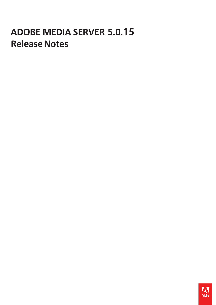# **ADOBE MEDIA SERVER 5.0.15 Release Notes**

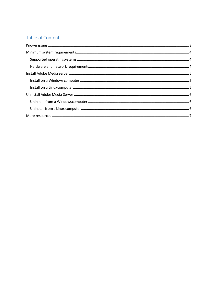## Table of Contents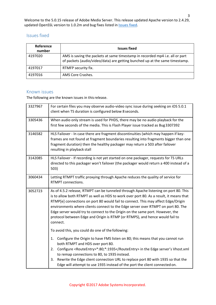Welcome to the 5.0.15 release of Adobe Media Server. This release updated Apache version to 2.4.29, updated OpenSSL version to 1.0.2m and bug fixes listed in **Issues fixed**.

## Issues fixed

| Reference<br>number | <b>Issues fixed</b>                                                                                                                                         |
|---------------------|-------------------------------------------------------------------------------------------------------------------------------------------------------------|
| 4197020             | AMS is saving the packets at same timestamp in recorded mp4 i.e. all or part<br>of packets (audio/video/data) are getting bunched up at the same timestamp. |
| 4197017             | RTMFP security fix.                                                                                                                                         |
| 4197016             | AMS Core Crashes.                                                                                                                                           |

### <span id="page-2-0"></span>Known issues

The following are the known issues in this release.

| 3327967 | For certain files you may observe audio-video sync issue during seeking on iOS 5.0.1<br>client when TS duration is configured below 8 seconds.                                                                                                                                                                                                                                                                                                                                                                                       |
|---------|--------------------------------------------------------------------------------------------------------------------------------------------------------------------------------------------------------------------------------------------------------------------------------------------------------------------------------------------------------------------------------------------------------------------------------------------------------------------------------------------------------------------------------------|
| 3305436 | When audio only stream is used for PHDS, there may be no audio playback for the<br>first few seconds of the media. This is Flash Player issue tracked as Bug 3307392                                                                                                                                                                                                                                                                                                                                                                 |
| 3146582 | HLS Failover - In case there are fragment discontinuities (which may happen if key-<br>frames are not found at fragment boundaries resulting into fragments bigger than one<br>fragment duration) then the healthy packager may return a 503 after failover<br>resulting in playback stall                                                                                                                                                                                                                                           |
| 3142085 | HLS Failover - If recording is not yet started on one packager, requests for TS URLs<br>directed to this packager won't failover (the packager would return a 400 instead of a<br>503)                                                                                                                                                                                                                                                                                                                                               |
| 3060434 | Letting RTMPT traffic proxying through Apache reduces the quality of service for<br>RTMPT connections.                                                                                                                                                                                                                                                                                                                                                                                                                               |
| 3052723 | As of 4.5.2 release, RTMPT can be tunneled through Apache listening on port 80. This<br>is to allow both RTMPT as well as HDS to work over port 80. As a result, it means that<br>RTMP[e] connections on port 80 would fail to connect. This may affect Edge/Origin<br>environments where clients connect to the Edge server over RTMPT on port 80. The<br>Edge server would try to connect to the Origin on the same port. However, the<br>protocol between Edge and Origin is RTMP (or RTMPS), and hence would fail to<br>connect. |
|         | To avoid this, you could do one of the following:                                                                                                                                                                                                                                                                                                                                                                                                                                                                                    |
|         | Configure the Origin to have FMS listen on 80; this means that you cannot run<br>1.<br>both RTMPT and HDS over port 80.                                                                                                                                                                                                                                                                                                                                                                                                              |
|         | Configure <routeentry>*:80;*:1935</routeentry> in the Edge server's Vhost.xml<br>2.<br>to remap connections to 80, to 1935 instead.                                                                                                                                                                                                                                                                                                                                                                                                  |
|         | Rewrite the Edge client connection URL to replace port 80 with 1935 so that the<br>3.<br>Edge will attempt to use 1935 instead of the port the client connected on.                                                                                                                                                                                                                                                                                                                                                                  |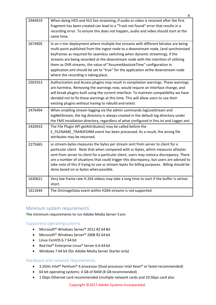| 2944919 | When doing HDS and HLS live streaming, if audio or video is received after the first<br>fragment has been created can lead to a "Track not found" error that results in a<br>recording error. To ensure this does not happen, audio and video should start at the<br>same time.                                                                                                                                                                                                                                                                          |
|---------|----------------------------------------------------------------------------------------------------------------------------------------------------------------------------------------------------------------------------------------------------------------------------------------------------------------------------------------------------------------------------------------------------------------------------------------------------------------------------------------------------------------------------------------------------------|
| 2674905 | In an n-tier deployment where multiple live streams with different bitrates are being<br>multi-point published from the ingest node to a downstream node, (and synchronized<br>keyframes as required for seamless switching when dynamic streaming), if the<br>streams are being recorded at the downstream node with the intention of utilizing<br>them as DVR streams, the value of "AssumeAbsoluteTime" configuration in<br>application.xml should be set to "true" for the application atthe downstream node<br>where the recording is taking place. |
| 2501913 | Authorization and Access plugins may result in compilation warnings. These warnings<br>are harmless. Removing the warnings now, would require an interface change, and<br>will break plugins built using the current interface. To maintain compatibility we have<br>decided not to fix these warnings at this time. This will allow users to use their<br>existing plugins without having to rebuild and retest.                                                                                                                                        |
| 2476494 | When enabling stream logging via the admin commands logLiveStream and<br>logNetStream, the log directory is always created in the default log directory under<br>the FMS installation directory, regardless of what configured in fms.ini and Logger.xml                                                                                                                                                                                                                                                                                                 |
| 2426933 | The File Plugin API getAttributes() may be called before the<br>E_FILENAME_TRANSFORM event has been processed. As a result, the wrong file<br>attributes may be returned.                                                                                                                                                                                                                                                                                                                                                                                |
| 2275665 | sc-stream-bytes measures the bytes per stream sent from server to client for a<br>particular client. Note that when compared with sc-bytes, which measures allbytes<br>sent from server to client for a particular client, users may notice a discrepancy. There<br>are a number of situations that could trigger this discrepancy, but users are advised to<br>take note of this if trying to use sc-stream-bytes for billing purposes. Billing should be<br>done based on sc-bytes when possible.                                                      |
| 1630621 | Very low frame rate H.264 videos may take a long time to start if the buffer is settoo<br>short.                                                                                                                                                                                                                                                                                                                                                                                                                                                         |
| 1611644 | The OnImageData event within H264 streams is not supported.                                                                                                                                                                                                                                                                                                                                                                                                                                                                                              |

## <span id="page-3-0"></span>Minimum system requirements

<span id="page-3-1"></span>The minimum requirements to run Adobe Media Server 5 are:

## Supported operatingsystems

- Microsoft® Windows Server® 2012 R2 64 Bit
- Microsoft® Windows Server® 2008 R2 64 bit
- Linux CentOS 6.7 64 bit
- Red Hat® Enterprise Linux® Server 6.6 64 bit
- Windows 7 64 bit (for Adobe Media Server Starter only)

#### <span id="page-3-2"></span>Hardware and network requirements

- 3.2GHz Intel<sup>®</sup> Pentium<sup>®</sup> 4 processor (Dual processor Intel Xeon<sup>®</sup> or faster recommended)
- 64 bit operating systems: 4 GB of RAM (8 GBrecommended)
- 1 Gbps Ethernet card recommended (multiple network cards and 10 Gbps card also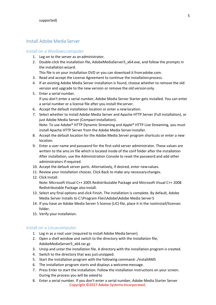## <span id="page-4-0"></span>Install Adobe Media Server

#### <span id="page-4-1"></span>Install on a Windows computer

- 1. Log on to the server as an administrator.
- 2. Double-click the installation file, AdobeMediaServer5\_x64.exe, and follow the prompts in the installation wizard.

This file is on your installation DVD or you can download it fromadobe.com.

- 3. Read and accept the License Agreement to continue the installationprocess.
- 4. If an existing Adobe Media Server installation is found, choose whether to remove the old version and upgrade to the new version or remove the old version only.
- 5. Enter a serial number. If you don't enter a serial number, Adobe Media Server Starter gets installed. You can enter a serial number or a license file after you install the server.
- 6. Accept the default installation location or enter a newlocation.
- 7. Select whether to install Adobe Media Server and Apache HTTP Server (Full installation), or just Adobe Media Server (Compact installation). Note: To use Adobe® HTTP Dynamic Streaming and Apple® HTTP Live Streaming, you must install Apache HTTP Server from the Adobe Media Serverinstaller.
- 8. Accept the default location for the Adobe Media Server program shortcuts or enter a new location.
- 9. Enter a user name and password for the first valid server administrator. These values are written to the ams.ini file which is located inside of the conf folder after the installation After installation, use the Administration Console to reset the password and add other administrators if required.
- 10. Accept the default server ports. Alternatively, if desired, enter newvalues.
- 11. Review your installation choices. Click Back to make any necessarychanges.
- 12. Click Install.

Note: Microsoft Visual C++ 2005 Redistributable Package and Microsoft Visual C++ 2008 Redistributable Package also install.

- 13. Select any final options and click Finish. The installation is complete. By default, Adobe Media Server installs to C:\Program Files\Adobe\Adobe Media Server5
- 14. If you have an Adobe Media Server 5 license (LIC) file, place it in the rootinstall/licenses folder.
- 15. Verify your installation.

### <span id="page-4-2"></span>Install on a Linuxcomputer

- 1. Log in as a root user (required to install Adobe Media Server).
- 2. Open a shell window and switch to the directory with the installation file, AdobeMediaServer5\_x64.tar.gz
- 3. Unzip and untar the installation file. A directory with the installation program is created.
- 4. Switch to the directory that was just unzipped.
- 5. Start the installation program with the following command:./installAMS
- 6. The installation program starts and displays a welcomemessage.
- 7. Press Enter to start the installation. Follow the installation instructions on your screen. During the process you will be asked to
- Copyright ©2017 Adobe Systems Incorporated. 8. Enter a serial number. If you don't enter a serial number, Adobe Media Starter Server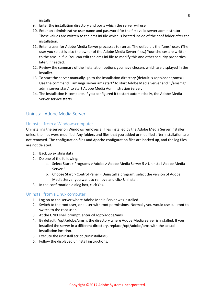installs.

- 9. Enter the installation directory and ports which the server willuse
- 10. Enter an administrative user name and password for the first valid server administrator. These values are written to the ams.ini file which is located inside of the conf folder after the installation.
- 11. Enter a user for Adobe Media Server processes to run as. The default is the "ams" user. (The user you select is also the owner of the Adobe Media Server files.) Your choices are written to the ams.ini file. You can edit the ams.ini file to modify this and other security properties later, if needed.
- 12. Review the summary of the installation options you have chosen, which are displayed in the installer.
- 13. To start the server manually, go to the installation directory (default is /opt/adobe/ams/). Use the command ".amsmgr server ams start" to start Adobe Media Server and "./amsmgr adminserver start" to start Adobe Media Administration Server.
- 14. The installation is complete. If you configured it to start automatically, the Adobe Media Server service starts.

## <span id="page-5-1"></span><span id="page-5-0"></span>Uninstall Adobe Media Server

#### Uninstall from a Windowscomputer

Uninstalling the server on Windows removes all files installed by the Adobe Media Server installer unless the files were modified. Any folders and files that you added or modified after installation are not removed. The configuration files and Apache configuration files are backed up, and the log files are not deleted.

- 1. Back up existing data
- 2. Do one of the following:
	- a. Select Start > Programs > Adobe > Adobe Media Server 5 > Uninstall Adobe Media Server 5
	- b. Choose Start > Control Panel > Uninstall a program, select the version of Adobe Media Server you want to remove and click Uninstall.
- 3. In the confirmation dialog box, click Yes.

#### <span id="page-5-2"></span>Uninstall from a Linux computer

- 1. Log on to the server where Adobe Media Server wasinstalled.
- 2. Switch to the root user, or a user with root permissions. Normally you would use su root to switch to the root user.
- 3. At the UNIX shell prompt, enter cd /opt/adobe/ams.
- 4. By default, /opt/adobe/ams is the directory where Adobe Media Server is installed. If you installed the server in a different directory, replace /opt/adobe/ams with the actual installation location.
- 5. Execute the uninstall script ./uninstallAMS.
- 6. Follow the displayed uninstall instructions.